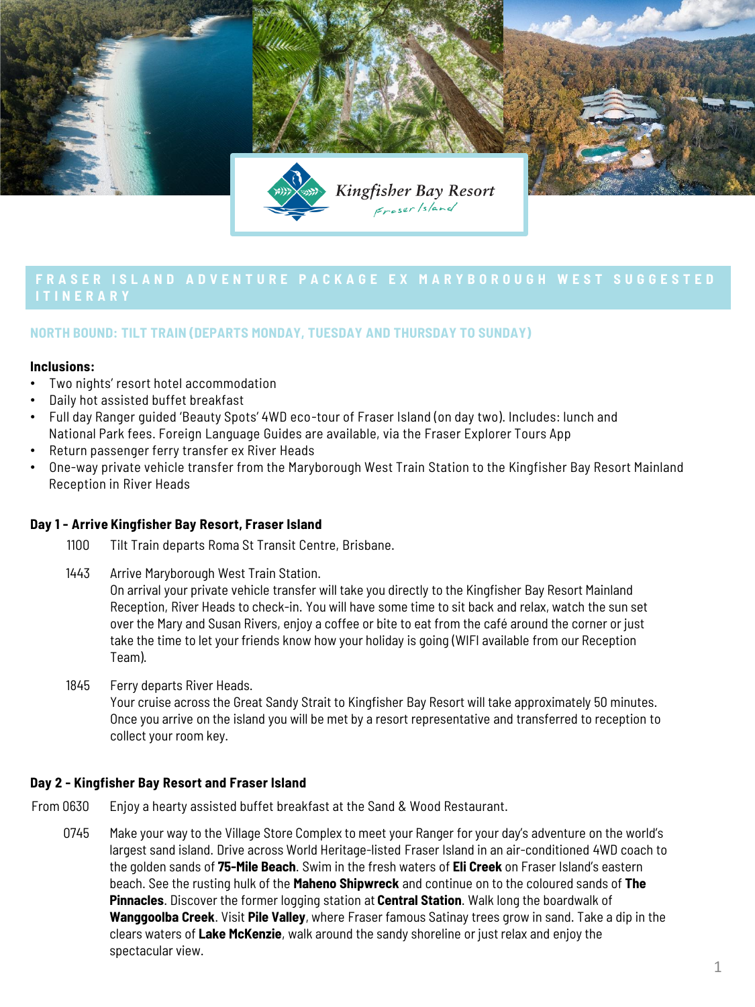

# **FRASER ISLAND ADVENTURE PACKAGE EX MARYBOROUGH WEST SUGGESTED**

# **NORTH BOUND: TILT TRAIN (DEPARTS MONDAY, TUESDAY AND THURSDAY TO SUNDAY)**

### **Inclusions:**

- Two nights' resort hotel accommodation
- Daily hot assisted buffet breakfast
- Full day Ranger guided 'Beauty Spots' 4WD eco-tour of Fraser Island (on day two). Includes: lunch and National Park fees. Foreign Language Guides are available, via the Fraser Explorer Tours App
- Return passenger ferry transfer ex River Heads
- One-way private vehicle transfer from the Maryborough West Train Station to the Kingfisher Bay Resort Mainland Reception in River Heads

# **Day 1 - Arrive Kingfisher Bay Resort, Fraser Island**

- 1100 Tilt Train departs Roma St Transit Centre, Brisbane.
- 1443 Arrive Maryborough West Train Station. On arrival your private vehicle transfer will take you directly to the Kingfisher Bay Resort Mainland Reception, River Heads to check-in. You will have some time to sit back and relax, watch the sun set over the Mary and Susan Rivers, enjoy a coffee or bite to eat from the café around the corner or just take the time to let your friends know how your holiday is going (WIFI available from our Reception Team).
- 1845 Ferry departs River Heads.

Your cruise across the Great Sandy Strait to Kingfisher Bay Resort will take approximately 50 minutes. Once you arrive on the island you will be met by a resort representative and transferred to reception to collect your room key.

# **Day 2 - Kingfisher Bay Resort and Fraser Island**

- From 0630 Enjoy a hearty assisted buffet breakfast at the Sand & Wood Restaurant.
	- 0745 Make your way to the Village Store Complex to meet your Ranger for your day's adventure on the world's largest sand island. Drive across World Heritage-listed Fraser Island in an air-conditioned 4WD coach to the golden sands of **75-Mile Beach**. Swim in the fresh waters of **Eli Creek** on Fraser Island's eastern beach. See the rusting hulk of the **Maheno Shipwreck** and continue on to the coloured sands of **The Pinnacles**. Discover the former logging station at **Central Station**. Walk long the boardwalk of **Wanggoolba Creek**. Visit **Pile Valley**, where Fraser famous Satinay trees grow in sand. Take a dip in the clears waters of **Lake McKenzie**, walk around the sandy shoreline or just relax and enjoy the spectacular view.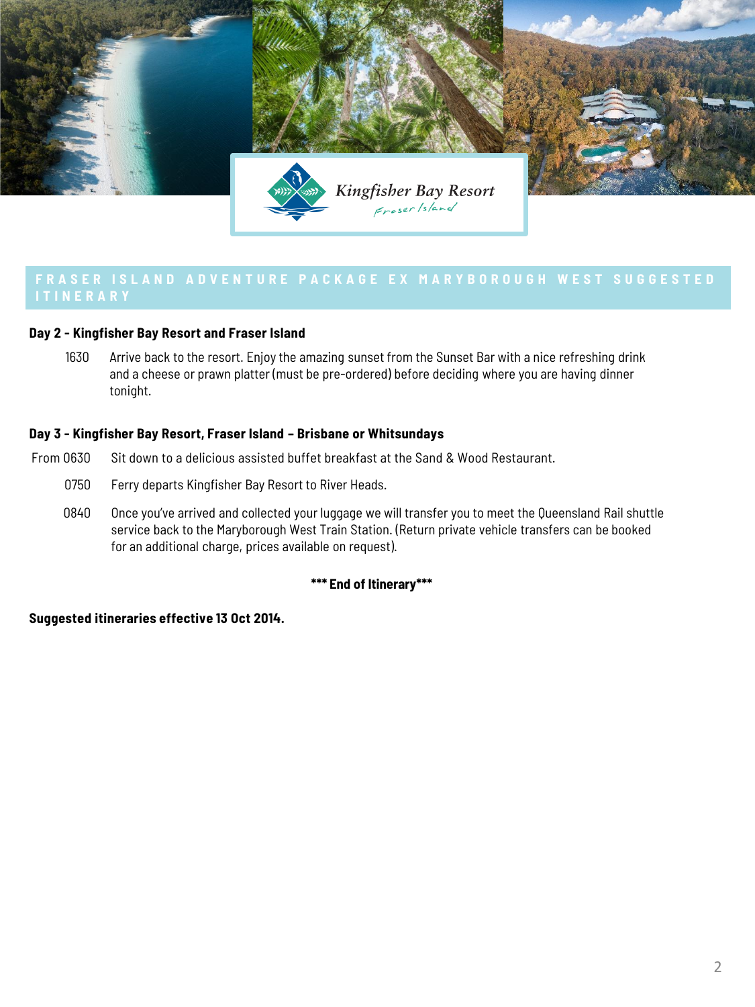

# **Day 2 - Kingfisher Bay Resort and Fraser Island**

1630 Arrive back to the resort. Enjoy the amazing sunset from the Sunset Bar with a nice refreshing drink and a cheese or prawn platter (must be pre-ordered) before deciding where you are having dinner tonight.

# **Day 3 - Kingfisher Bay Resort, Fraser Island – Brisbane or Whitsundays**

- From 0630 Sit down to a delicious assisted buffet breakfast at the Sand & Wood Restaurant.
	- 0750 Ferry departs Kingfisher Bay Resort to River Heads.
	- 0840 Once you've arrived and collected your luggage we will transfer you to meet the Queensland Rail shuttle service back to the Maryborough West Train Station. (Return private vehicle transfers can be booked for an additional charge, prices available on request).

# **\*\*\* End of Itinerary\*\*\***

# **Suggested itineraries effective 13 Oct 2014.**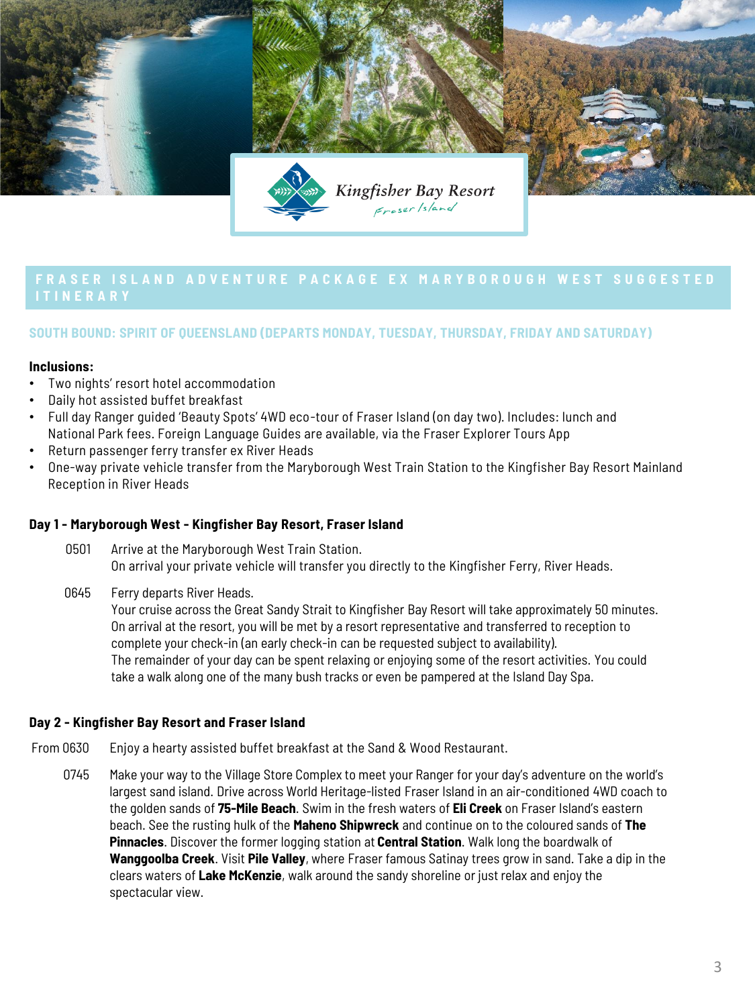

# **FRASER ISLAND ADVENTURE PACKAGE EX MARYBOROUGH WEST SUGGESTED**

# **SOUTH BOUND: SPIRIT OF QUEENSLAND (DEPARTS MONDAY, TUESDAY, THURSDAY, FRIDAY AND SATURDAY)**

### **Inclusions:**

- Two nights' resort hotel accommodation
- Daily hot assisted buffet breakfast
- Full day Ranger guided 'Beauty Spots' 4WD eco-tour of Fraser Island (on day two). Includes: lunch and National Park fees. Foreign Language Guides are available, via the Fraser Explorer Tours App
- Return passenger ferry transfer ex River Heads
- One-way private vehicle transfer from the Maryborough West Train Station to the Kingfisher Bay Resort Mainland Reception in River Heads

# **Day 1 - Maryborough West - Kingfisher Bay Resort, Fraser Island**

- 0501 Arrive at the Maryborough West Train Station. On arrival your private vehicle will transfer you directly to the Kingfisher Ferry, River Heads.
- 0645 Ferry departs River Heads.

Your cruise across the Great Sandy Strait to Kingfisher Bay Resort will take approximately 50 minutes. On arrival at the resort, you will be met by a resort representative and transferred to reception to complete your check-in (an early check-in can be requested subject to availability). The remainder of your day can be spent relaxing or enjoying some of the resort activities. You could take a walk along one of the many bush tracks or even be pampered at the Island Day Spa.

# **Day 2 - Kingfisher Bay Resort and Fraser Island**

- From 0630 Enjoy a hearty assisted buffet breakfast at the Sand & Wood Restaurant.
	- 0745 Make your way to the Village Store Complex to meet your Ranger for your day's adventure on the world's largest sand island. Drive across World Heritage-listed Fraser Island in an air-conditioned 4WD coach to the golden sands of **75-Mile Beach**. Swim in the fresh waters of **Eli Creek** on Fraser Island's eastern beach. See the rusting hulk of the **Maheno Shipwreck** and continue on to the coloured sands of **The Pinnacles**. Discover the former logging station at **Central Station**. Walk long the boardwalk of **Wanggoolba Creek**. Visit **Pile Valley**, where Fraser famous Satinay trees grow in sand. Take a dip in the clears waters of **Lake McKenzie**, walk around the sandy shoreline or just relax and enjoy the spectacular view.